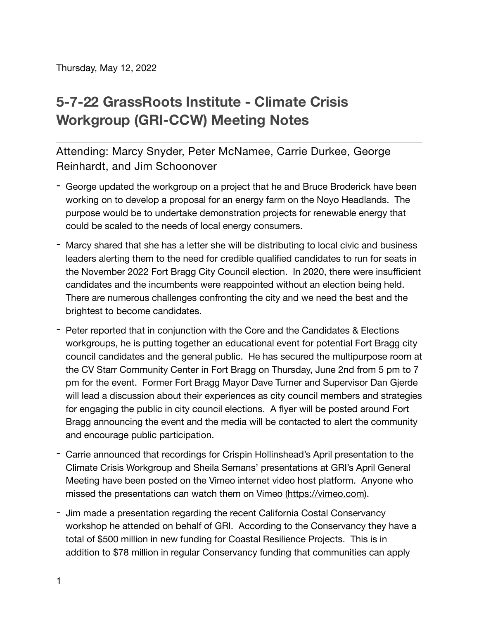Thursday, May 12, 2022

## **5-7-22 GrassRoots Institute - Climate Crisis Workgroup (GRI-CCW) Meeting Notes**

Attending: Marcy Snyder, Peter McNamee, Carrie Durkee, George Reinhardt, and Jim Schoonover

- George updated the workgroup on a project that he and Bruce Broderick have been working on to develop a proposal for an energy farm on the Noyo Headlands. The purpose would be to undertake demonstration projects for renewable energy that could be scaled to the needs of local energy consumers.
- Marcy shared that she has a letter she will be distributing to local civic and business leaders alerting them to the need for credible qualified candidates to run for seats in the November 2022 Fort Bragg City Council election. In 2020, there were insufficient candidates and the incumbents were reappointed without an election being held. There are numerous challenges confronting the city and we need the best and the brightest to become candidates.
- Peter reported that in conjunction with the Core and the Candidates & Elections workgroups, he is putting together an educational event for potential Fort Bragg city council candidates and the general public. He has secured the multipurpose room at the CV Starr Community Center in Fort Bragg on Thursday, June 2nd from 5 pm to 7 pm for the event. Former Fort Bragg Mayor Dave Turner and Supervisor Dan Gjerde will lead a discussion about their experiences as city council members and strategies for engaging the public in city council elections. A flyer will be posted around Fort Bragg announcing the event and the media will be contacted to alert the community and encourage public participation.
- Carrie announced that recordings for Crispin Hollinshead's April presentation to the Climate Crisis Workgroup and Sheila Semans' presentations at GRI's April General Meeting have been posted on the Vimeo internet video host platform. Anyone who missed the presentations can watch them on Vimeo ([https://vimeo.com\)](https://vimeo.com).
- Jim made a presentation regarding the recent California Costal Conservancy workshop he attended on behalf of GRI. According to the Conservancy they have a total of \$500 million in new funding for Coastal Resilience Projects. This is in addition to \$78 million in regular Conservancy funding that communities can apply